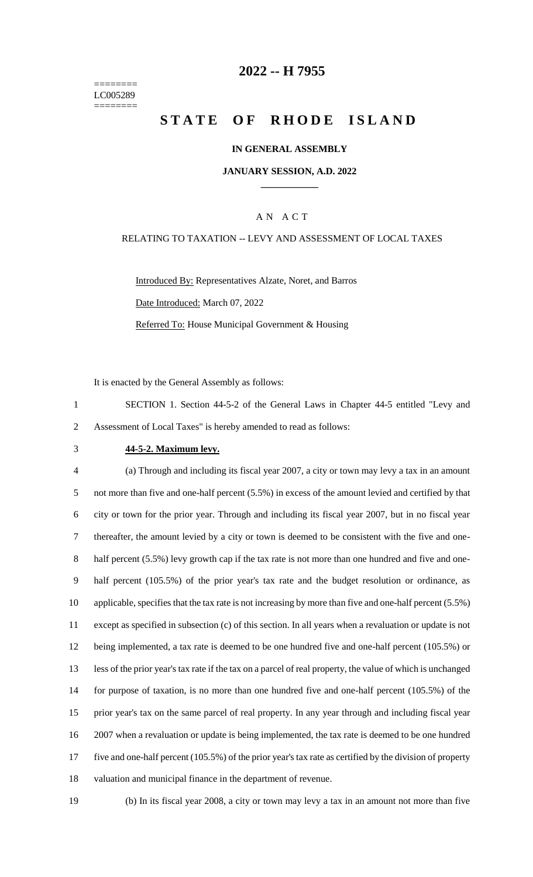======== LC005289 ========

## **2022 -- H 7955**

# **STATE OF RHODE ISLAND**

#### **IN GENERAL ASSEMBLY**

#### **JANUARY SESSION, A.D. 2022 \_\_\_\_\_\_\_\_\_\_\_\_**

#### A N A C T

#### RELATING TO TAXATION -- LEVY AND ASSESSMENT OF LOCAL TAXES

Introduced By: Representatives Alzate, Noret, and Barros Date Introduced: March 07, 2022 Referred To: House Municipal Government & Housing

It is enacted by the General Assembly as follows:

1 SECTION 1. Section 44-5-2 of the General Laws in Chapter 44-5 entitled "Levy and 2 Assessment of Local Taxes" is hereby amended to read as follows:

## 3 **44-5-2. Maximum levy.**

 (a) Through and including its fiscal year 2007, a city or town may levy a tax in an amount not more than five and one-half percent (5.5%) in excess of the amount levied and certified by that city or town for the prior year. Through and including its fiscal year 2007, but in no fiscal year thereafter, the amount levied by a city or town is deemed to be consistent with the five and one-8 half percent (5.5%) levy growth cap if the tax rate is not more than one hundred and five and one- half percent (105.5%) of the prior year's tax rate and the budget resolution or ordinance, as applicable, specifies that the tax rate is not increasing by more than five and one-half percent (5.5%) except as specified in subsection (c) of this section. In all years when a revaluation or update is not being implemented, a tax rate is deemed to be one hundred five and one-half percent (105.5%) or less of the prior year's tax rate if the tax on a parcel of real property, the value of which is unchanged for purpose of taxation, is no more than one hundred five and one-half percent (105.5%) of the prior year's tax on the same parcel of real property. In any year through and including fiscal year 2007 when a revaluation or update is being implemented, the tax rate is deemed to be one hundred five and one-half percent (105.5%) of the prior year's tax rate as certified by the division of property valuation and municipal finance in the department of revenue.

19 (b) In its fiscal year 2008, a city or town may levy a tax in an amount not more than five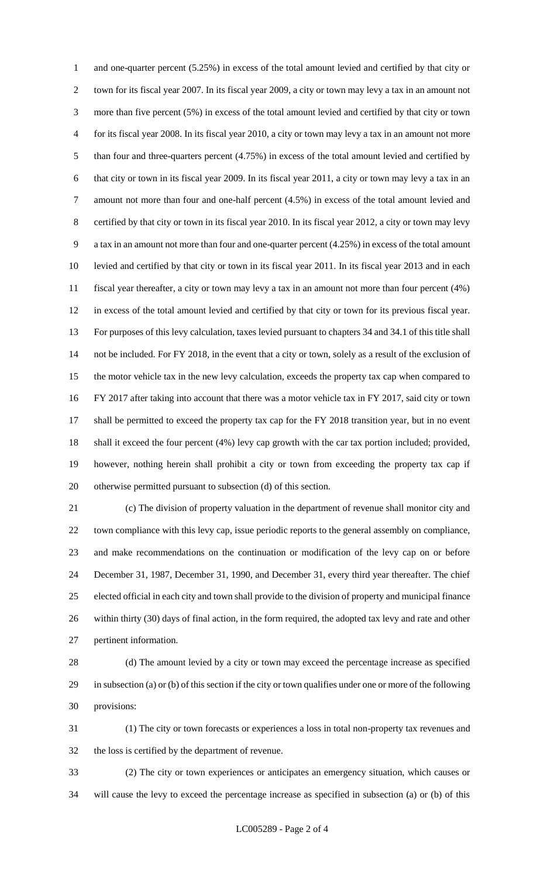and one-quarter percent (5.25%) in excess of the total amount levied and certified by that city or town for its fiscal year 2007. In its fiscal year 2009, a city or town may levy a tax in an amount not more than five percent (5%) in excess of the total amount levied and certified by that city or town for its fiscal year 2008. In its fiscal year 2010, a city or town may levy a tax in an amount not more than four and three-quarters percent (4.75%) in excess of the total amount levied and certified by that city or town in its fiscal year 2009. In its fiscal year 2011, a city or town may levy a tax in an amount not more than four and one-half percent (4.5%) in excess of the total amount levied and certified by that city or town in its fiscal year 2010. In its fiscal year 2012, a city or town may levy a tax in an amount not more than four and one-quarter percent (4.25%) in excess of the total amount levied and certified by that city or town in its fiscal year 2011. In its fiscal year 2013 and in each fiscal year thereafter, a city or town may levy a tax in an amount not more than four percent (4%) in excess of the total amount levied and certified by that city or town for its previous fiscal year. For purposes of this levy calculation, taxes levied pursuant to chapters 34 and 34.1 of this title shall not be included. For FY 2018, in the event that a city or town, solely as a result of the exclusion of the motor vehicle tax in the new levy calculation, exceeds the property tax cap when compared to FY 2017 after taking into account that there was a motor vehicle tax in FY 2017, said city or town shall be permitted to exceed the property tax cap for the FY 2018 transition year, but in no event shall it exceed the four percent (4%) levy cap growth with the car tax portion included; provided, however, nothing herein shall prohibit a city or town from exceeding the property tax cap if otherwise permitted pursuant to subsection (d) of this section.

 (c) The division of property valuation in the department of revenue shall monitor city and town compliance with this levy cap, issue periodic reports to the general assembly on compliance, and make recommendations on the continuation or modification of the levy cap on or before December 31, 1987, December 31, 1990, and December 31, every third year thereafter. The chief elected official in each city and town shall provide to the division of property and municipal finance within thirty (30) days of final action, in the form required, the adopted tax levy and rate and other pertinent information.

 (d) The amount levied by a city or town may exceed the percentage increase as specified in subsection (a) or (b) of this section if the city or town qualifies under one or more of the following provisions:

 (1) The city or town forecasts or experiences a loss in total non-property tax revenues and the loss is certified by the department of revenue.

 (2) The city or town experiences or anticipates an emergency situation, which causes or will cause the levy to exceed the percentage increase as specified in subsection (a) or (b) of this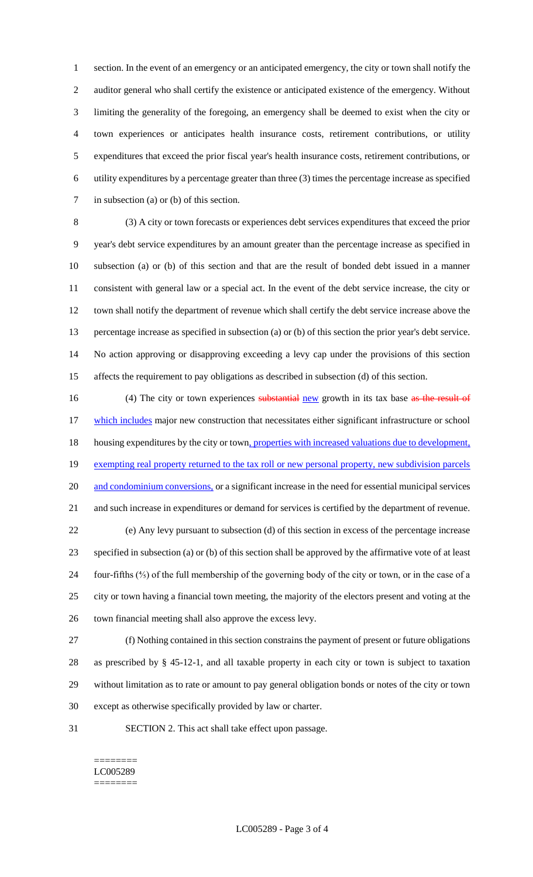section. In the event of an emergency or an anticipated emergency, the city or town shall notify the auditor general who shall certify the existence or anticipated existence of the emergency. Without limiting the generality of the foregoing, an emergency shall be deemed to exist when the city or town experiences or anticipates health insurance costs, retirement contributions, or utility expenditures that exceed the prior fiscal year's health insurance costs, retirement contributions, or utility expenditures by a percentage greater than three (3) times the percentage increase as specified in subsection (a) or (b) of this section.

 (3) A city or town forecasts or experiences debt services expenditures that exceed the prior year's debt service expenditures by an amount greater than the percentage increase as specified in subsection (a) or (b) of this section and that are the result of bonded debt issued in a manner consistent with general law or a special act. In the event of the debt service increase, the city or town shall notify the department of revenue which shall certify the debt service increase above the percentage increase as specified in subsection (a) or (b) of this section the prior year's debt service. No action approving or disapproving exceeding a levy cap under the provisions of this section affects the requirement to pay obligations as described in subsection (d) of this section.

16 (4) The city or town experiences substantial new growth in its tax base as the result of 17 which includes major new construction that necessitates either significant infrastructure or school 18 housing expenditures by the city or town, properties with increased valuations due to development, 19 exempting real property returned to the tax roll or new personal property, new subdivision parcels 20 and condominium conversions, or a significant increase in the need for essential municipal services and such increase in expenditures or demand for services is certified by the department of revenue. (e) Any levy pursuant to subsection (d) of this section in excess of the percentage increase specified in subsection (a) or (b) of this section shall be approved by the affirmative vote of at least four-fifths (⅘) of the full membership of the governing body of the city or town, or in the case of a city or town having a financial town meeting, the majority of the electors present and voting at the town financial meeting shall also approve the excess levy.

 (f) Nothing contained in this section constrains the payment of present or future obligations as prescribed by § 45-12-1, and all taxable property in each city or town is subject to taxation without limitation as to rate or amount to pay general obligation bonds or notes of the city or town except as otherwise specifically provided by law or charter.

SECTION 2. This act shall take effect upon passage.

======== LC005289 ========